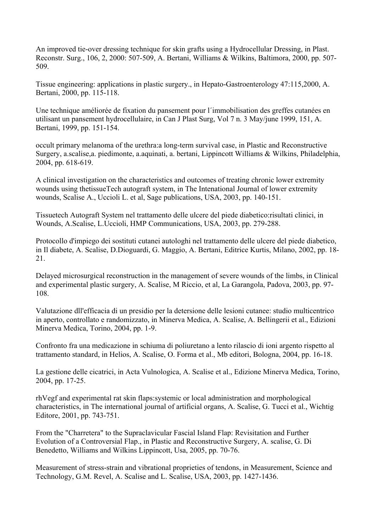An improved tie-over dressing technique for skin grafts using a Hydrocellular Dressing, in Plast. Reconstr. Surg., 106, 2, 2000: 507-509, A. Bertani, Williams & Wilkins, Baltimora, 2000, pp. 507- 509.

Tissue engineering: applications in plastic surgery., in Hepato-Gastroenterology 47:115,2000, A. Bertani, 2000, pp. 115-118.

Une technique améliorée de fixation du pansement pour l´immobilisation des greffes cutanées en utilisant un pansement hydrocellulaire, in Can J Plast Surg, Vol 7 n. 3 May/june 1999, 151, A. Bertani, 1999, pp. 151-154.

occult primary melanoma of the urethra:a long-term survival case, in Plastic and Reconstructive Surgery, a.scalise,a. piedimonte, a.aquinati, a. bertani, Lippincott Williams & Wilkins, Philadelphia, 2004, pp. 618-619.

A clinical investigation on the characteristics and outcomes of treating chronic lower extremity wounds using thetissueTech autograft system, in The Intenational Journal of lower extremity wounds, Scalise A., Uccioli L. et al, Sage publications, USA, 2003, pp. 140-151.

Tissuetech Autograft System nel trattamento delle ulcere del piede diabetico:risultati clinici, in Wounds, A.Scalise, L.Uccioli, HMP Communications, USA, 2003, pp. 279-288.

Protocollo d'impiego dei sostituti cutanei autologhi nel trattamento delle ulcere del piede diabetico, in Il diabete, A. Scalise, D.Dioguardi, G. Maggio, A. Bertani, Editrice Kurtis, Milano, 2002, pp. 18- 21.

Delayed microsurgical reconstruction in the management of severe wounds of the limbs, in Clinical and experimental plastic surgery, A. Scalise, M Riccio, et al, La Garangola, Padova, 2003, pp. 97- 108.

Valutazione dll'efficacia di un presidio per la detersione delle lesioni cutanee: studio multicentrico in aperto, controllato e randomizzato, in Minerva Medica, A. Scalise, A. Bellingerii et al., Edizioni Minerva Medica, Torino, 2004, pp. 1-9.

Confronto fra una medicazione in schiuma di poliuretano a lento rilascio di ioni argento rispetto al trattamento standard, in Helios, A. Scalise, O. Forma et al., Mb editori, Bologna, 2004, pp. 16-18.

La gestione delle cicatrici, in Acta Vulnologica, A. Scalise et al., Edizione Minerva Medica, Torino, 2004, pp. 17-25.

rhVegf and experimental rat skin flaps:systemic or local administration and morphological characteristics, in The international journal of artificial organs, A. Scalise, G. Tucci et al., Wichtig Editore, 2001, pp. 743-751.

From the "Charretera" to the Supraclavicular Fascial Island Flap: Revisitation and Further Evolution of a Controversial Flap., in Plastic and Reconstructive Surgery, A. scalise, G. Di Benedetto, Williams and Wilkins Lippincott, Usa, 2005, pp. 70-76.

Measurement of stress-strain and vibrational proprieties of tendons, in Measurement, Science and Technology, G.M. Revel, A. Scalise and L. Scalise, USA, 2003, pp. 1427-1436.